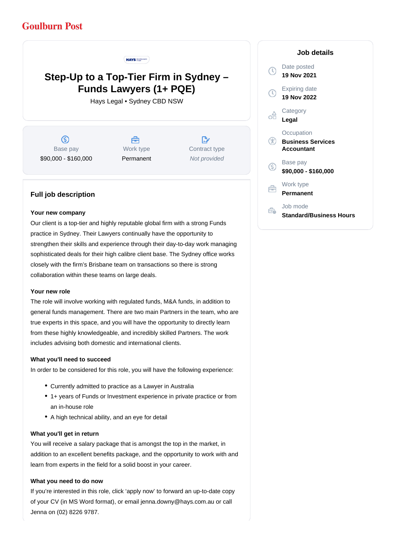## **Goulburn Post**

#### **HAYS Incidents**

# **Step-Up to a Top-Tier Firm in Sydney – Funds Lawyers (1+ PQE)**

Hays Legal • Sydney CBD NSW

 $\circledS$ Base pay \$90,000 - \$160,000

A Work type Permanent

 $\mathbb{R}^{\cdot}$ Contract type Not provided

### **Full job description**

#### **Your new company**

Our client is a top-tier and highly reputable global firm with a strong Funds practice in Sydney. Their Lawyers continually have the opportunity to strengthen their skills and experience through their day-to-day work managing sophisticated deals for their high calibre client base. The Sydney office works closely with the firm's Brisbane team on transactions so there is strong collaboration within these teams on large deals.

#### **Your new role**

The role will involve working with regulated funds, M&A funds, in addition to general funds management. There are two main Partners in the team, who are true experts in this space, and you will have the opportunity to directly learn from these highly knowledgeable, and incredibly skilled Partners. The work includes advising both domestic and international clients.

#### **What you'll need to succeed**

In order to be considered for this role, you will have the following experience:

- Currently admitted to practice as a Lawyer in Australia
- 1+ years of Funds or Investment experience in private practice or from an in-house role
- A high technical ability, and an eye for detail

#### **What you'll get in return**

You will receive a salary package that is amongst the top in the market, in addition to an excellent benefits package, and the opportunity to work with and learn from experts in the field for a solid boost in your career.

#### **What you need to do now**

If you're interested in this role, click 'apply now' to forward an up-to-date copy of your CV (in MS Word format), or email jenna.downy@hays.com.au or call Jenna on (02) 8226 9787.

#### **Job details** Date posted Œ **19 Nov 2021** Expiring date **19 Nov 2022 Category** œ **Legal Occupation**  $\circledR$ **Business Services Accountant** Base pay (S) **\$90,000 - \$160,000** Work type A **Permanent** Job mode Ê. **Standard/Business Hours**